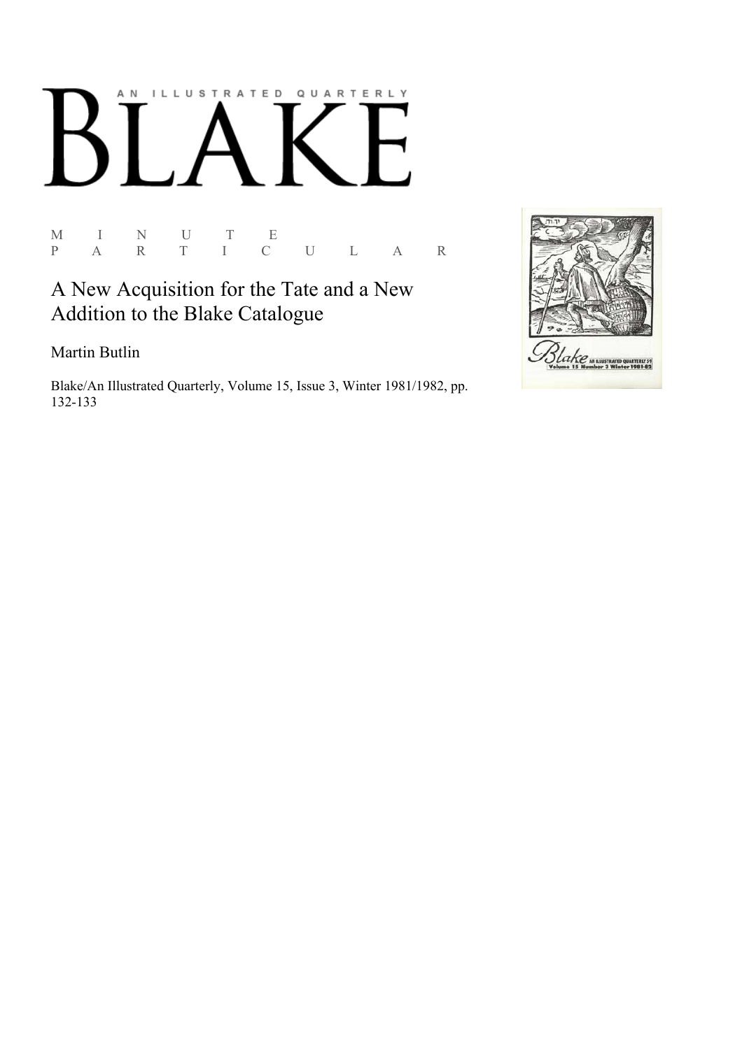# AN ILLUSTRATED QUARTERLY  $\boldsymbol{\mathsf{N}}$

M I N U T E<br>P A R T I C P A R T I C U L A R

## A New Acquisition for the Tate and a New Addition to the Blake Catalogue

Martin Butlin

Blake/An Illustrated Quarterly, Volume 15, Issue 3, Winter 1981/1982, pp. 132-133

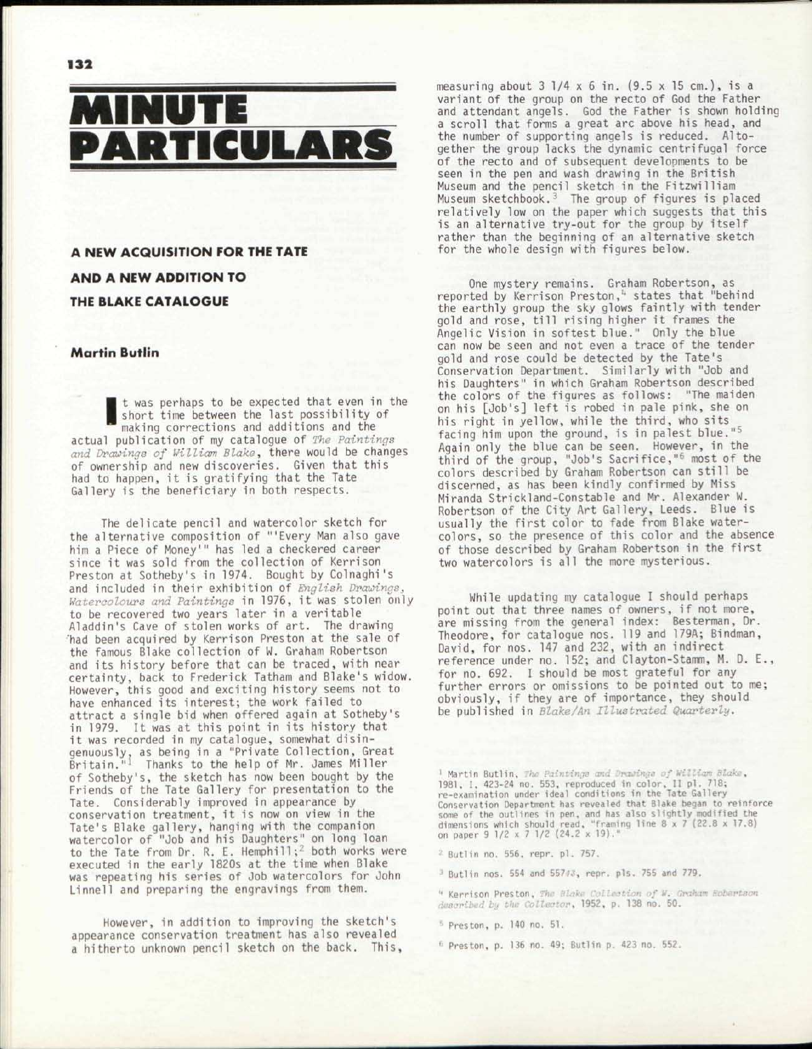



### A NEW ACQUISITION FOR THE TATE AND A NEW ADDITION TO THE BLAKE CATALOGUE

#### **Martin Butlin**

**Martin Butlin**<br> **I** t was perhaps to be expected that even in the short time between the last possibility of<br>
making corrections and additions and the<br>
actual publication of my catalogue of *The Paintings* t was perhaps to be expected that even in the short time between the last possibility of making corrections and additions and the *and Drawings of William Blake,* there would be changes of ownership and new discoveries. Given that this had to happen, it is gratifying that the Tate Gallery is the beneficiary in both respects.

The delicate pencil and watercolor sketch for the alternative composition of '"Every Man also gave him a Piece of Money'" has led a checkered career since it was sold from the collection of Kerrison Preston at Sotheby's in 1974. Bought by Colnaghi's and included in their exhibition of *English Drawings,*  Watercolours and Paintings in 1976, it was stolen only to be recovered two years later in a veritable Aladdin's Cave of stolen works of art. The drawing 'had been acquired by Kerrison Preston at the sale of the famous Blake collection of W. Graham Robertson and its history before that can be traced, with near certainty, back to Frederick Tatham and Blake's widow. However, this good and exciting history seems not to have enhanced its interest; the work failed to attract a single bid when offered again at Sotheby's in 1979. It was at this point in its history that it was recorded in my catalogue, somewhat disingenuously, as being in a "Private Collection, Great<br>Britain."<sup>1</sup> Thanks to the help of Mr. James Miller of Sotheby's, the sketch has now been bought by the Friends of the Tate Gallery for presentation to the Tate. Considerably improved in appearance by conservation treatment, it is now on view in the Tate's Blake gallery, hanging with the companion watercolor of "Job and his Daughters" on long loan to the Tate from Dr. R. E. Hemphill;<sup>2</sup> both works were executed in the early 1820s at the time when Blake was repeating his series of Job watercolors for John Linnell and preparing the engravings from them.

However, in addition to improving the sketch's appearance conservation treatment has also revealed a hitherto unknown pencil sketch on the back. This, measuring about 3 1/4 x 6 in. (9.5 x 15 cm.), is a variant of the group on the recto of God the Father and attendant angels. God the Father is shown holding a scroll that forms a great arc above his head, and the number of supporting angels is reduced. Altogether the group lacks the dynamic centrifugal force of the recto and of subsequent developments to be seen in the pen and wash drawing in the British Museum and the pencil sketch in the Fitzwilliam Museum sketchbook.<sup>3</sup> The group of figures is placed relatively low on the paper which suggests that this is an alternative try-out for the group by itself rather than the beginning of an alternative sketch for the whole design with figures below.

One mystery remains. Graham Robertson, as reported by Kerrison Preston,<sup>4</sup> states that "behind the earthly group the sky glows faintly with tender gold and rose, till rising higher it frames the Angelic Vision in softest blue." Only the blue can now be seen and not even a trace of the tender gold and rose could be detected by the Tate's Conservation Department. Similarly with "Job and his Daughters" in which Graham Robertson described the colors of the figures as follows: "The maiden on his [Job's] left is robed in pale pink, she on his right in yellow, while the third, who sits facing him upon the ground, is in palest blue."5 Again only the blue can be seen. However, in the third of the group, "Job's Sacrifice,"<sup>6</sup> most of the colors described by Graham Robertson can still be discerned, as has been kindly confirmed by Miss Miranda Strickland-Constable and Mr. Alexander w. Robertson of the City Art Gallery, Leeds. Blue is usually the first color to fade from Blake watercolors, so the presence of this color and the absence of those described by Graham Robertson in the first two watercolors is all the more mysterious.

While updating my catalogue I should perhaps point out that three names of owners, if not more, are missing from the general index: Besterman, Dr. Theodore, for catalogue nos. 119 and 179A; Bindman, David, for nos. 147 and 232, with an indirect reference under no. 152; and Clayton-Stamm, M. D. E., for no. 692. I should be most grateful for any further errors or omissions to be pointed out to me; obviously, if they are of importance, they should be published in *Blake/An Illustrated Quarterly.* 

<sup>1</sup> Martin Butlin, *The Paintinge and Drawinge of William Blo*<br>1981, I, 423-24 no. 553, reproduced in color, II pl. 718;<br>re-examination under ideal conditions in the Tate Gallery Conservation Department has revealed that Blake began to reinforce some of the outlines in pen, and has also slightly modified the<br>dimensions which should read, "framing line 8 x 7 (22.8 x 17.8)<br>on paper 9 1/2 x 7 1/2 (24.2 x 19)."

<sup>2</sup> Butlin no. 556, repr. pl. 757.

<sup>3</sup> Butlin nos. 554 and 55743, repr. pls. 755 and 779.

<sup>4</sup> Kerrison Preston, The Blake Collection of W. Graham Robertson<br>described by the Collector, 1952, p. 138 no. 50.

<sup>5</sup> Preston, p. 140 no. 51.

<sup>1</sup> Preston, p. 136 no. 49; Butlin p. 423 no. 552.